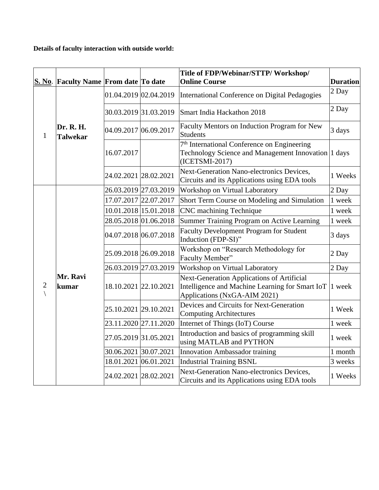## **Details of faculty interaction with outside world:**

|   | Title of FDP/Webinar/STTP/Workshop/   |                       |                       |                                                                                                                                  |                 |
|---|---------------------------------------|-----------------------|-----------------------|----------------------------------------------------------------------------------------------------------------------------------|-----------------|
|   | S. No. Faculty Name From date To date |                       |                       | <b>Online Course</b>                                                                                                             | <b>Duration</b> |
| 1 | Dr. R. H.<br><b>Talwekar</b>          | 01.04.2019 02.04.2019 |                       | International Conference on Digital Pedagogies                                                                                   | 2 Day           |
|   |                                       |                       | 30.03.2019 31.03.2019 | Smart India Hackathon 2018                                                                                                       | 2 Day           |
|   |                                       | 04.09.2017 06.09.2017 |                       | Faculty Mentors on Induction Program for New<br><b>Students</b>                                                                  | 3 days          |
|   |                                       | 16.07.2017            |                       | 7 <sup>th</sup> International Conference on Engineering<br>Technology Science and Management Innovation 1 days<br>(ICETSMI-2017) |                 |
|   |                                       | 24.02.2021 28.02.2021 |                       | <b>Next-Generation Nano-electronics Devices,</b><br>Circuits and its Applications using EDA tools                                | 1 Weeks         |
|   | Mr. Ravi<br>kumar                     | 26.03.2019 27.03.2019 |                       | Workshop on Virtual Laboratory                                                                                                   | 2 Day           |
| 2 |                                       |                       | 17.07.2017 22.07.2017 | Short Term Course on Modeling and Simulation                                                                                     | 1 week          |
|   |                                       |                       | 10.01.2018 15.01.2018 | <b>CNC</b> machining Technique                                                                                                   | 1 week          |
|   |                                       |                       | 28.05.2018 01.06.2018 | Summer Training Program on Active Learning                                                                                       | 1 week          |
|   |                                       | 04.07.2018 06.07.2018 |                       | <b>Faculty Development Program for Student</b><br>Induction (FDP-SI)"                                                            | 3 days          |
|   |                                       |                       | 25.09.2018 26.09.2018 | Workshop on "Research Methodology for<br>Faculty Member"                                                                         | 2 Day           |
|   |                                       | 26.03.2019 27.03.2019 |                       | Workshop on Virtual Laboratory                                                                                                   |                 |
|   |                                       |                       | 18.10.2021 22.10.2021 | Next-Generation Applications of Artificial<br>Intelligence and Machine Learning for Smart IoT<br>Applications (NxGA-AIM 2021)    | 1 week          |
|   |                                       | 25.10.2021 29.10.2021 |                       | Devices and Circuits for Next-Generation<br><b>Computing Architectures</b>                                                       | 1 Week          |
|   |                                       | 23.11.2020 27.11.2020 |                       | Internet of Things (IoT) Course                                                                                                  | 1 week          |
|   |                                       | 27.05.2019 31.05.2021 |                       | Introduction and basics of programming skill<br>using MATLAB and PYTHON                                                          | 1 week          |
|   |                                       | 30.06.2021 30.07.2021 |                       | <b>Innovation Ambassador training</b>                                                                                            | 1 month         |
|   |                                       | 18.01.2021 06.01.2021 |                       | <b>Industrial Training BSNL</b>                                                                                                  | 3 weeks         |
|   |                                       | 24.02.2021 28.02.2021 |                       | Next-Generation Nano-electronics Devices,<br>Circuits and its Applications using EDA tools                                       | 1 Weeks         |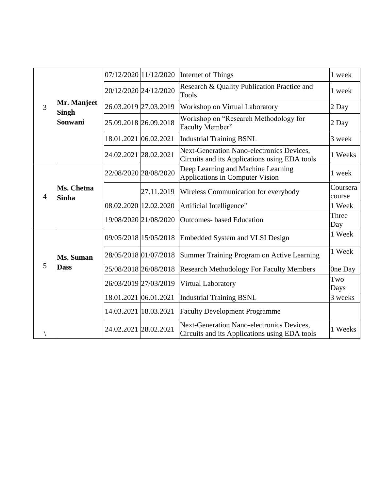| 3 | Mr. Manjeet<br><b>Singh</b><br>Sonwani |                       | 07/12/2020 11/12/2020                                                                             | Internet of Things                                                                         | 1 week             |
|---|----------------------------------------|-----------------------|---------------------------------------------------------------------------------------------------|--------------------------------------------------------------------------------------------|--------------------|
|   |                                        | 20/12/2020 24/12/2020 |                                                                                                   | Research & Quality Publication Practice and<br><b>Tools</b>                                | 1 week             |
|   |                                        | 26.03.2019 27.03.2019 |                                                                                                   | Workshop on Virtual Laboratory                                                             | 2 Day              |
|   |                                        | 25.09.2018 26.09.2018 |                                                                                                   | Workshop on "Research Methodology for<br>Faculty Member"                                   | 2 Day              |
|   |                                        | 18.01.2021 06.02.2021 |                                                                                                   | <b>Industrial Training BSNL</b>                                                            | 3 week             |
|   |                                        | 24.02.2021 28.02.2021 |                                                                                                   | Next-Generation Nano-electronics Devices,<br>Circuits and its Applications using EDA tools | 1 Weeks            |
| 4 | Ms. Chetna<br><b>Sinha</b>             |                       | 22/08/2020 28/08/2020                                                                             | Deep Learning and Machine Learning<br>Applications in Computer Vision                      | 1 week             |
|   |                                        |                       | 27.11.2019                                                                                        | Wireless Communication for everybody                                                       | Coursera<br>course |
|   |                                        | 08.02.2020 12.02.2020 |                                                                                                   | Artificial Intelligence"                                                                   | 1 Week             |
|   |                                        |                       | 19/08/2020 21/08/2020                                                                             | <b>Outcomes-</b> based Education                                                           | Three<br>Day       |
| 5 | Ms. Suman<br><b>Dass</b>               | 09/05/2018 15/05/2018 |                                                                                                   | <b>Embedded System and VLSI Design</b>                                                     | 1 Week             |
|   |                                        | 28/05/2018 01/07/2018 |                                                                                                   | Summer Training Program on Active Learning                                                 | 1 Week             |
|   |                                        | 25/08/2018 26/08/2018 |                                                                                                   | <b>Research Methodology For Faculty Members</b>                                            | One Day            |
|   |                                        | 26/03/2019 27/03/2019 |                                                                                                   | Virtual Laboratory                                                                         | Two<br>Days        |
|   |                                        | 18.01.2021 06.01.2021 |                                                                                                   | <b>Industrial Training BSNL</b>                                                            | 3 weeks            |
|   |                                        |                       | 14.03.2021  18.03.2021                                                                            | <b>Faculty Development Programme</b>                                                       |                    |
|   | 24.02.2021 28.02.2021                  |                       | <b>Next-Generation Nano-electronics Devices,</b><br>Circuits and its Applications using EDA tools | 1 Weeks                                                                                    |                    |